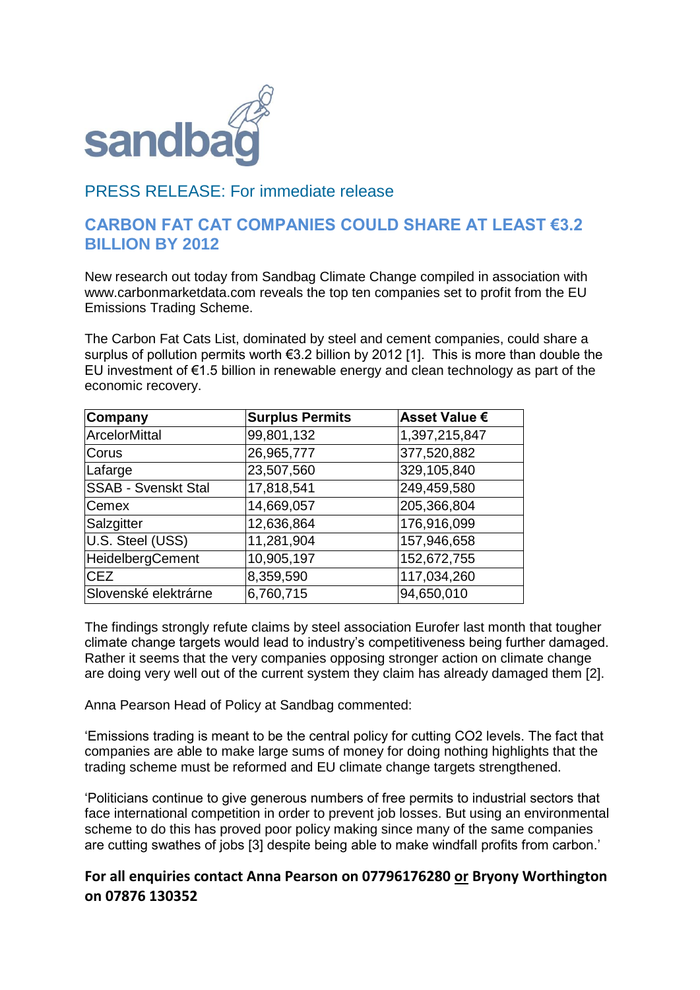

## PRESS RELEASE: For immediate release

## **CARBON FAT CAT COMPANIES COULD SHARE AT LEAST €3.2 BILLION BY 2012**

New research out today from Sandbag Climate Change compiled in association with www.carbonmarketdata.com reveals the top ten companies set to profit from the EU Emissions Trading Scheme.

The Carbon Fat Cats List, dominated by steel and cement companies, could share a surplus of pollution permits worth €3.2 billion by 2012 [1]. This is more than double the EU investment of  $\epsilon$ 1.5 billion in renewable energy and clean technology as part of the economic recovery.

| Company                    | <b>Surplus Permits</b> | <b>Asset Value €</b> |
|----------------------------|------------------------|----------------------|
| ArcelorMittal              | 99,801,132             | 1,397,215,847        |
| <b>Corus</b>               | 26,965,777             | 377,520,882          |
| Lafarge                    | 23,507,560             | 329,105,840          |
| <b>SSAB - Svenskt Stal</b> | 17,818,541             | 249,459,580          |
| <b>Cemex</b>               | 14,669,057             | 205,366,804          |
| Salzgitter                 | 12,636,864             | 176,916,099          |
| U.S. Steel (USS)           | 11,281,904             | 157,946,658          |
| <b>HeidelbergCement</b>    | 10,905,197             | 152,672,755          |
| <b>CEZ</b>                 | 8,359,590              | 117,034,260          |
| Slovenské elektrárne       | 6,760,715              | 94,650,010           |

The findings strongly refute claims by steel association Eurofer last month that tougher climate change targets would lead to industry's competitiveness being further damaged. Rather it seems that the very companies opposing stronger action on climate change are doing very well out of the current system they claim has already damaged them [2].

Anna Pearson Head of Policy at Sandbag commented:

'Emissions trading is meant to be the central policy for cutting CO2 levels. The fact that companies are able to make large sums of money for doing nothing highlights that the trading scheme must be reformed and EU climate change targets strengthened.

'Politicians continue to give generous numbers of free permits to industrial sectors that face international competition in order to prevent job losses. But using an environmental scheme to do this has proved poor policy making since many of the same companies are cutting swathes of jobs [3] despite being able to make windfall profits from carbon.'

## **For all enquiries contact Anna Pearson on 07796176280 or Bryony Worthington on 07876 130352**